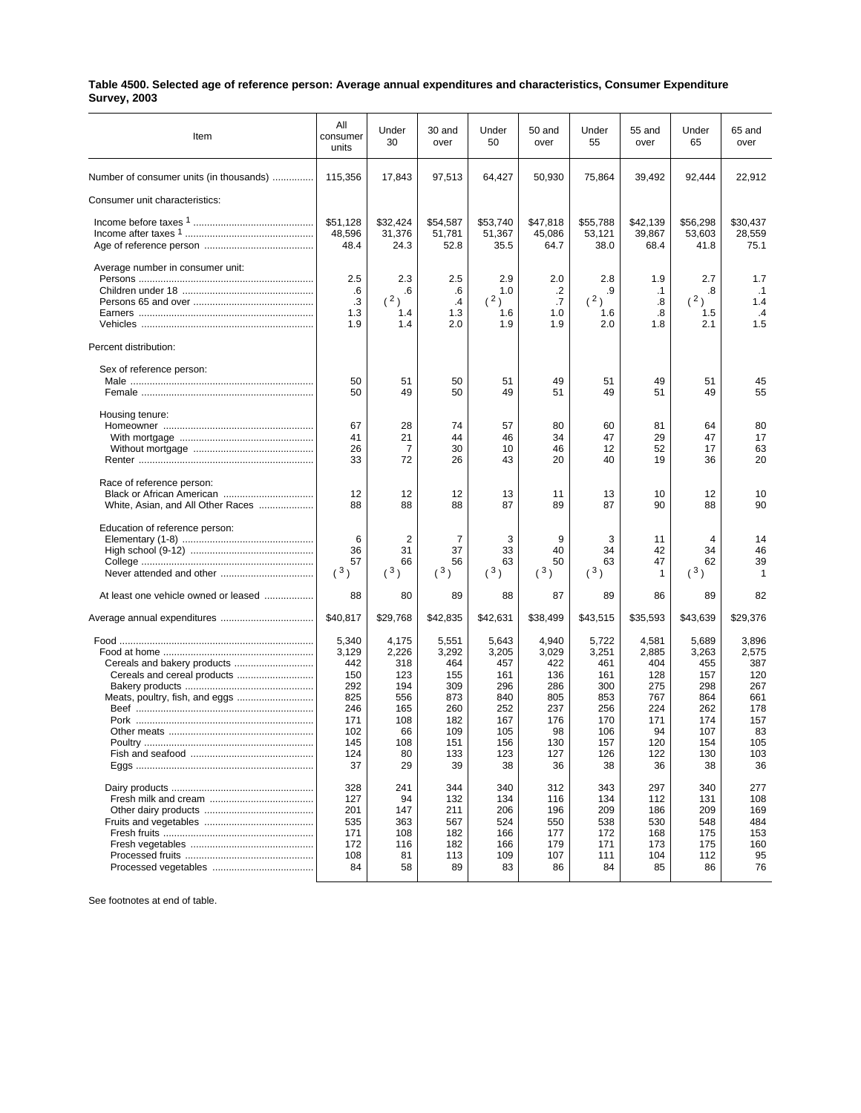## **Table 4500. Selected age of reference person: Average annual expenditures and characteristics, Consumer Expenditure Survey, 2003**

| Item                                    | All<br>consumer<br>units   | Under<br>30                | 30 and<br>over             | Under<br>50                | 50 and<br>over             | Under<br>55                | 55 and<br>over             | Under<br>65                | 65 and<br>over              |
|-----------------------------------------|----------------------------|----------------------------|----------------------------|----------------------------|----------------------------|----------------------------|----------------------------|----------------------------|-----------------------------|
| Number of consumer units (in thousands) | 115,356                    | 17,843                     | 97,513                     | 64,427                     | 50,930                     | 75,864                     | 39,492                     | 92,444                     | 22,912                      |
| Consumer unit characteristics:          |                            |                            |                            |                            |                            |                            |                            |                            |                             |
|                                         | \$51,128<br>48,596<br>48.4 | \$32,424<br>31,376<br>24.3 | \$54,587<br>51,781<br>52.8 | \$53,740<br>51,367<br>35.5 | \$47,818<br>45,086<br>64.7 | \$55,788<br>53,121<br>38.0 | \$42,139<br>39,867<br>68.4 | \$56,298<br>53,603<br>41.8 | \$30,437<br>28,559<br>75.1  |
| Average number in consumer unit:        | 2.5                        | 2.3                        | 2.5                        | 2.9                        | 2.0                        | 2.8                        | 1.9                        | 2.7                        | 1.7                         |
|                                         | .6<br>.3<br>1.3            | .6<br>(2)<br>1.4           | .6<br>$\cdot$<br>1.3       | 1.0<br>(2)<br>1.6          | .2<br>.7<br>1.0            | .9<br>(2)<br>1.6           | $\cdot$ 1<br>.8<br>.8      | .8<br>(2)<br>1.5           | $\cdot$ 1<br>1.4<br>$\cdot$ |
|                                         | 1.9                        | 1.4                        | 2.0                        | 1.9                        | 1.9                        | 2.0                        | 1.8                        | 2.1                        | 1.5                         |
| Percent distribution:                   |                            |                            |                            |                            |                            |                            |                            |                            |                             |
| Sex of reference person:                | 50                         | 51                         | 50                         | 51                         | 49                         | 51                         | 49                         | 51                         | 45                          |
|                                         | 50                         | 49                         | 50                         | 49                         | 51                         | 49                         | 51                         | 49                         | 55                          |
| Housing tenure:                         | 67                         | 28                         | 74                         | 57                         | 80                         | 60                         | 81                         | 64                         | 80                          |
|                                         | 41                         | 21                         | 44                         | 46                         | 34                         | 47                         | 29                         | 47                         | 17                          |
|                                         | 26<br>33                   | 7<br>72                    | 30<br>26                   | 10<br>43                   | 46<br>20                   | 12<br>40                   | 52<br>19                   | 17<br>36                   | 63<br>20                    |
| Race of reference person:               |                            |                            |                            |                            |                            |                            |                            |                            |                             |
| White, Asian, and All Other Races       | 12<br>88                   | 12<br>88                   | 12<br>88                   | 13<br>87                   | 11<br>89                   | 13<br>87                   | 10<br>90                   | 12<br>88                   | 10<br>90                    |
| Education of reference person:          |                            |                            |                            |                            |                            |                            |                            |                            |                             |
|                                         | 6<br>36                    | 2<br>31                    | 7<br>37                    | 3<br>33                    | 9<br>40                    | 3<br>34                    | 11<br>42                   | 4<br>34                    | 14<br>46                    |
|                                         | 57<br>(3)                  | 66                         | 56                         | 63                         | 50                         | 63                         | 47                         | 62                         | 39                          |
|                                         |                            | (3)                        | (3)                        | (3)                        | (3)                        | (3)                        | 1                          | (3)                        | $\mathbf{1}$                |
| At least one vehicle owned or leased    | 88                         | 80                         | 89                         | 88                         | 87                         | 89                         | 86                         | 89                         | 82                          |
| Average annual expenditures             | \$40,817                   | \$29,768                   | \$42,835                   | \$42,631                   | \$38,499                   | \$43,515                   | \$35,593                   | \$43,639                   | \$29,376                    |
|                                         | 5,340<br>3,129<br>442      | 4,175<br>2,226<br>318      | 5,551<br>3,292<br>464      | 5,643<br>3,205<br>457      | 4,940<br>3,029<br>422      | 5,722<br>3,251<br>461      | 4,581<br>2,885<br>404      | 5,689<br>3,263<br>455      | 3,896<br>2,575<br>387       |
|                                         | 150                        | 123                        | 155                        | 161                        | 136                        | 161                        | 128                        | 157                        | 120                         |
|                                         | 292                        | 194                        | 309                        | 296                        | 286                        | 300                        | 275                        | 298                        | 267                         |
| Meats, poultry, fish, and eggs          | 825<br>246                 | 556<br>165                 | 873<br>260                 | 840<br>252                 | 805<br>237                 | 853<br>256                 | 767<br>224                 | 864<br>262                 | 661<br>178                  |
|                                         | 171                        | 108                        | 182                        | 167                        | 176                        | 170                        | 171                        | 174                        | 157                         |
|                                         | 102                        | 66                         | 109                        | 105                        | 98                         | 106                        | 94                         | 107                        | 83                          |
|                                         | 145                        | 108                        | 151                        | 156                        | 130                        | 157                        | 120                        | 154                        | 105                         |
|                                         | 124<br>37                  | 80<br>29                   | 133<br>39                  | 123<br>38                  | 127<br>36                  | 126<br>38                  | 122<br>36                  | 130<br>38                  | 103<br>36                   |
|                                         | 328                        | 241                        | 344                        | 340                        | 312                        | 343                        | 297                        | 340                        | 277                         |
|                                         | 127                        | 94                         | 132                        | 134                        | 116                        | 134                        | 112                        | 131                        | 108                         |
|                                         | 201                        | 147                        | 211                        | 206                        | 196                        | 209                        | 186                        | 209<br>548                 | 169                         |
|                                         | 535<br>171                 | 363<br>108                 | 567<br>182                 | 524<br>166                 | 550<br>177                 | 538<br>172                 | 530<br>168                 | 175                        | 484<br>153                  |
|                                         | 172                        | 116                        | 182                        | 166                        | 179                        | 171                        | 173                        | 175                        | 160                         |
|                                         | 108                        | 81                         | 113                        | 109                        | 107                        | 111                        | 104                        | 112                        | 95                          |
|                                         | 84                         | 58                         | 89                         | 83                         | 86                         | 84                         | 85                         | 86                         | 76                          |

See footnotes at end of table.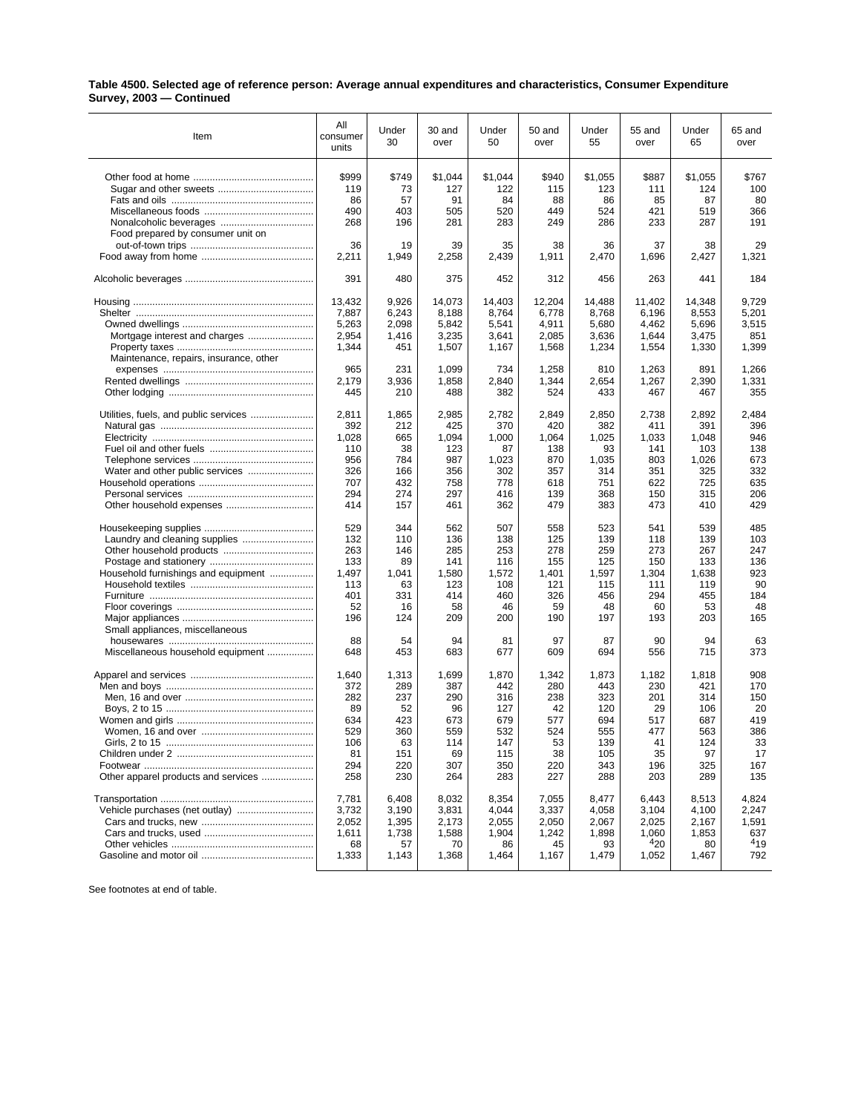## **Table 4500. Selected age of reference person: Average annual expenditures and characteristics, Consumer Expenditure Survey, 2003 — Continued**

| Item                                                                 | All<br>consumer<br>units | Under<br>30         | 30 and<br>over        | Under<br>50         | 50 and<br>over        | Under<br>55         | 55 and<br>over        | Under<br>65         | 65 and<br>over        |
|----------------------------------------------------------------------|--------------------------|---------------------|-----------------------|---------------------|-----------------------|---------------------|-----------------------|---------------------|-----------------------|
|                                                                      | \$999                    | \$749               | \$1,044               | \$1,044             | \$940                 | \$1,055             | \$887                 | \$1,055             | \$767                 |
|                                                                      | 119                      | 73                  | 127                   | 122                 | 115                   | 123                 | 111                   | 124                 | 100                   |
|                                                                      | 86                       | 57                  | 91                    | 84                  | 88                    | 86                  | 85                    | 87                  | 80                    |
|                                                                      | 490                      | 403                 | 505                   | 520                 | 449                   | 524                 | 421                   | 519                 | 366                   |
|                                                                      | 268                      | 196                 | 281                   | 283                 | 249                   | 286                 | 233                   | 287                 | 191                   |
| Food prepared by consumer unit on                                    | 36<br>2,211              | 19<br>1,949         | 39<br>2,258           | 35<br>2,439         | 38<br>1,911           | 36<br>2,470         | 37<br>1,696           | 38<br>2,427         | 29<br>1,321           |
|                                                                      | 391                      | 480                 | 375                   | 452                 | 312                   | 456                 | 263                   | 441                 | 184                   |
|                                                                      | 13,432                   | 9,926               | 14,073                | 14,403              | 12.204                | 14,488              | 11,402                | 14.348              | 9,729                 |
|                                                                      | 7,887                    | 6,243               | 8,188                 | 8,764               | 6,778                 | 8,768               | 6,196                 | 8,553               | 5,201                 |
|                                                                      | 5,263                    | 2,098               | 5,842                 | 5,541               | 4,911                 | 5,680               | 4,462                 | 5,696               | 3,515                 |
| Mortgage interest and charges                                        | 2,954                    | 1,416               | 3,235                 | 3,641               | 2,085                 | 3,636               | 1,644                 | 3,475               | 851                   |
|                                                                      | 1,344                    | 451                 | 1,507                 | 1,167               | 1,568                 | 1,234               | 1,554                 | 1,330               | 1,399                 |
| Maintenance, repairs, insurance, other                               | 965<br>2,179<br>445      | 231<br>3,936<br>210 | 1,099<br>1,858<br>488 | 734<br>2,840<br>382 | 1,258<br>1,344<br>524 | 810<br>2,654<br>433 | 1,263<br>1,267<br>467 | 891<br>2,390<br>467 | 1,266<br>1,331<br>355 |
| Utilities, fuels, and public services                                | 2,811                    | 1,865               | 2,985                 | 2,782               | 2,849                 | 2,850               | 2,738                 | 2,892               | 2,484                 |
|                                                                      | 392                      | 212                 | 425                   | 370                 | 420                   | 382                 | 411                   | 391                 | 396                   |
|                                                                      | 1.028                    | 665                 | 1,094                 | 1,000               | 1,064                 | 1,025               | 1,033                 | 1,048               | 946                   |
|                                                                      | 110                      | 38                  | 123                   | 87                  | 138                   | 93                  | 141                   | 103                 | 138                   |
|                                                                      | 956                      | 784                 | 987                   | 1,023               | 870                   | 1,035               | 803                   | 1,026               | 673                   |
|                                                                      | 326                      | 166                 | 356                   | 302                 | 357                   | 314                 | 351                   | 325                 | 332                   |
|                                                                      | 707                      | 432                 | 758                   | 778                 | 618                   | 751                 | 622                   | 725                 | 635                   |
|                                                                      | 294                      | 274                 | 297                   | 416                 | 139                   | 368                 | 150                   | 315                 | 206                   |
|                                                                      | 414                      | 157                 | 461                   | 362                 | 479                   | 383                 | 473                   | 410                 | 429                   |
|                                                                      | 529                      | 344                 | 562                   | 507                 | 558                   | 523                 | 541                   | 539                 | 485                   |
|                                                                      | 132                      | 110                 | 136                   | 138                 | 125                   | 139                 | 118                   | 139                 | 103                   |
|                                                                      | 263                      | 146                 | 285                   | 253                 | 278                   | 259                 | 273                   | 267                 | 247                   |
|                                                                      | 133                      | 89                  | 141                   | 116                 | 155                   | 125                 | 150                   | 133                 | 136                   |
| Household furnishings and equipment                                  | 1,497                    | 1,041               | 1,580                 | 1,572               | 1,401                 | 1,597               | 1,304                 | 1,638               | 923                   |
|                                                                      | 113                      | 63                  | 123                   | 108                 | 121                   | 115                 | 111                   | 119                 | 90                    |
|                                                                      | 401                      | 331                 | 414                   | 460                 | 326                   | 456                 | 294                   | 455                 | 184                   |
|                                                                      | 52                       | 16                  | 58                    | 46                  | 59                    | 48                  | 60                    | 53                  | 48                    |
|                                                                      | 196                      | 124                 | 209                   | 200                 | 190                   | 197                 | 193                   | 203                 | 165                   |
| Small appliances, miscellaneous<br>Miscellaneous household equipment | 88<br>648                | 54<br>453           | 94<br>683             | 81<br>677           | 97<br>609             | 87<br>694           | 90<br>556             | 94<br>715           | 63<br>373             |
|                                                                      | 1,640                    | 1,313               | 1,699                 | 1,870               | 1,342                 | 1,873               | 1,182                 | 1,818               | 908                   |
|                                                                      | 372                      | 289                 | 387                   | 442                 | 280                   | 443                 | 230                   | 421                 | 170                   |
|                                                                      | 282                      | 237                 | 290                   | 316                 | 238                   | 323                 | 201                   | 314                 | 150                   |
|                                                                      | 89                       | 52                  | 96                    | 127                 | 42                    | 120                 | 29                    | 106                 | 20                    |
|                                                                      | 634                      | 423                 | 673                   | 679                 | 577                   | 694                 | 517                   | 687                 | 419                   |
|                                                                      | 529                      | 360                 | 559                   | 532                 | 524                   | 555                 | 477                   | 563                 | 386                   |
|                                                                      | 106                      | 63                  | 114                   | 147                 | 53                    | 139                 | 41                    | 124                 | 33                    |
|                                                                      | 81                       | 151                 | 69                    | 115                 | 38                    | 105                 | 35                    | 97                  | 17                    |
|                                                                      | 294                      | 220                 | 307                   | 350                 | 220                   | 343                 | 196                   | 325                 | 167                   |
| Other apparel products and services                                  | 258                      | 230                 | 264                   | 283                 | 227                   | 288                 | 203                   | 289                 | 135                   |
|                                                                      | 7,781                    | 6,408               | 8,032                 | 8,354               | 7,055                 | 8,477               | 6,443                 | 8,513               | 4,824                 |
| Vehicle purchases (net outlay)                                       | 3,732                    | 3,190               | 3,831                 | 4,044               | 3,337                 | 4,058               | 3,104                 | 4,100               | 2,247                 |
|                                                                      | 2,052                    | 1,395               | 2,173                 | 2,055               | 2,050                 | 2,067               | 2,025                 | 2,167               | 1,591                 |
|                                                                      | 1,611                    | 1,738               | 1,588                 | 1,904               | 1,242                 | 1,898               | 1,060                 | 1,853               | 637                   |
|                                                                      | 68                       | 57                  | 70                    | 86                  | 45                    | 93                  | 420                   | 80                  | 419                   |
|                                                                      | 1,333                    | 1,143               | 1,368                 | 1,464               | 1,167                 | 1,479               | 1,052                 | 1,467               | 792                   |

See footnotes at end of table.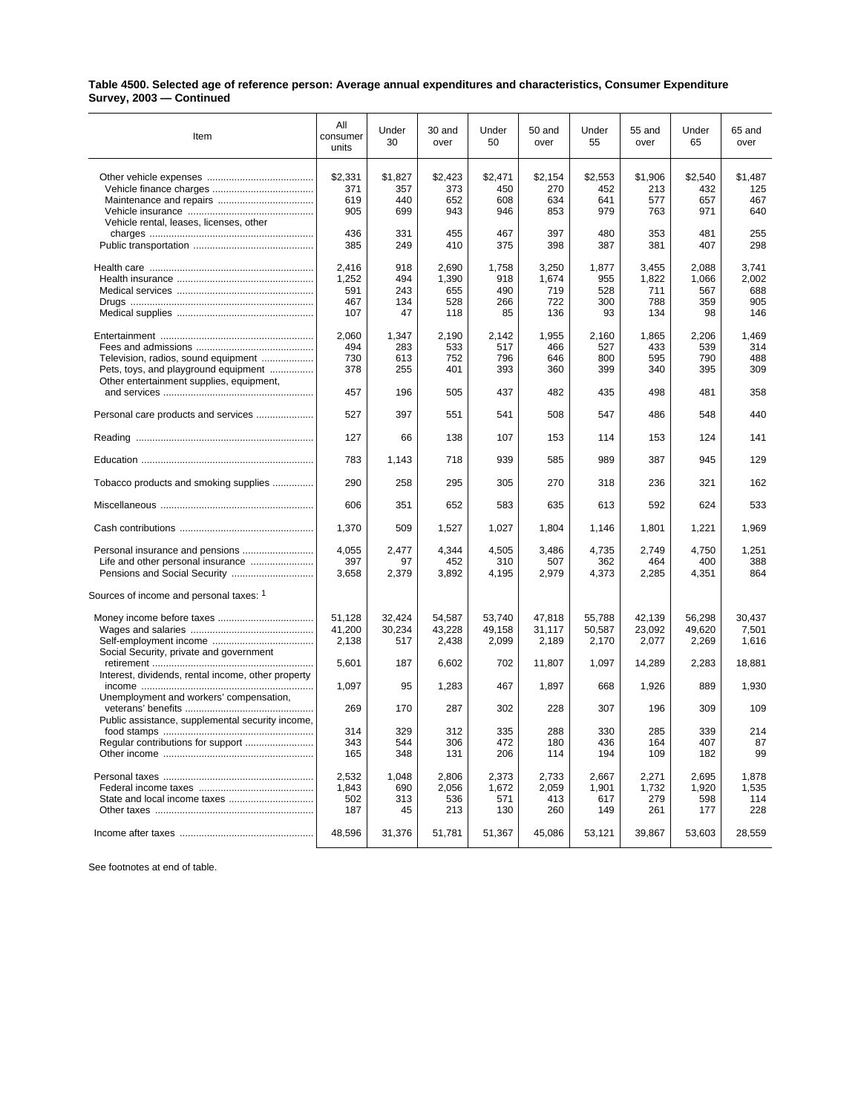## **Table 4500. Selected age of reference person: Average annual expenditures and characteristics, Consumer Expenditure Survey, 2003 — Continued**

| Item                                               | All<br>consumer<br>units | Under<br>30    | 30 and<br>over | Under<br>50    | 50 and<br>over | Under<br>55    | 55 and<br>over | Under<br>65    | 65 and<br>over |
|----------------------------------------------------|--------------------------|----------------|----------------|----------------|----------------|----------------|----------------|----------------|----------------|
|                                                    | \$2,331<br>371           | \$1,827<br>357 | \$2,423<br>373 | \$2,471<br>450 | \$2,154<br>270 | \$2,553<br>452 | \$1,906<br>213 | \$2,540<br>432 | \$1,487<br>125 |
|                                                    | 619                      | 440            | 652            | 608            | 634            | 641            | 577            | 657            | 467            |
|                                                    | 905                      | 699            | 943            | 946            | 853            | 979            | 763            | 971            | 640            |
| Vehicle rental, leases, licenses, other            |                          |                |                |                |                |                |                |                |                |
|                                                    | 436                      | 331            | 455            | 467            | 397            | 480            | 353            | 481            | 255            |
|                                                    | 385                      | 249            | 410            | 375            | 398            | 387            | 381            | 407            | 298            |
|                                                    |                          |                |                |                |                |                |                |                |                |
|                                                    | 2,416                    | 918            | 2,690          | 1,758          | 3,250          | 1,877          | 3,455          | 2,088          | 3,741          |
|                                                    | 1,252                    | 494            | 1,390          | 918            | 1,674          | 955            | 1,822          | 1,066          | 2,002          |
|                                                    |                          |                |                |                |                |                |                |                |                |
|                                                    | 591                      | 243            | 655            | 490            | 719            | 528            | 711            | 567            | 688            |
|                                                    | 467                      | 134            | 528            | 266            | 722            | 300            | 788            | 359            | 905            |
|                                                    | 107                      | 47             | 118            | 85             | 136            | 93             | 134            | 98             | 146            |
|                                                    |                          |                |                |                |                |                |                |                |                |
|                                                    | 2,060                    | 1,347          | 2,190          | 2,142          | 1,955          | 2,160          | 1,865          | 2,206          | 1,469          |
|                                                    | 494                      | 283            | 533            | 517            | 466            | 527            | 433            | 539            | 314            |
| Television, radios, sound equipment                | 730                      | 613            | 752            | 796            | 646            | 800            | 595            | 790            | 488            |
| Pets, toys, and playground equipment               | 378                      | 255            | 401            | 393            | 360            | 399            | 340            | 395            | 309            |
| Other entertainment supplies, equipment,           |                          |                |                |                |                |                |                |                |                |
|                                                    | 457                      | 196            | 505            | 437            | 482            | 435            | 498            | 481            | 358            |
|                                                    |                          |                |                |                |                |                |                |                |                |
| Personal care products and services                | 527                      | 397            | 551            | 541            | 508            | 547            | 486            | 548            | 440            |
|                                                    | 127                      | 66             | 138            | 107            | 153            | 114            | 153            | 124            | 141            |
|                                                    | 783                      | 1,143          | 718            | 939            | 585            | 989            | 387            | 945            | 129            |
| Tobacco products and smoking supplies              | 290                      | 258            | 295            | 305            | 270            | 318            | 236            | 321            | 162            |
|                                                    | 606                      | 351            | 652            | 583            | 635            | 613            | 592            | 624            | 533            |
|                                                    | 1,370                    | 509            | 1,527          | 1,027          | 1,804          | 1,146          | 1,801          | 1,221          | 1,969          |
|                                                    | 4,055                    | 2,477          | 4,344          | 4,505          | 3,486          | 4,735          | 2,749          | 4,750          | 1,251          |
|                                                    | 397                      | 97             | 452            | 310            | 507            | 362            | 464            | 400            | 388            |
|                                                    | 3,658                    | 2,379          | 3,892          | 4,195          | 2,979          | 4,373          | 2,285          | 4,351          | 864            |
| Sources of income and personal taxes: 1            |                          |                |                |                |                |                |                |                |                |
|                                                    |                          |                |                |                |                |                |                |                |                |
|                                                    | 51,128                   | 32,424         | 54,587         | 53,740         | 47,818         | 55,788         | 42,139         | 56,298         | 30,437         |
|                                                    | 41,200                   | 30,234         | 43,228         | 49,158         | 31,117         | 50,587         | 23,092         | 49,620         | 7,501          |
|                                                    | 2,138                    | 517            | 2,438          | 2,099          | 2,189          | 2,170          | 2,077          | 2,269          | 1,616          |
| Social Security, private and government            |                          |                |                |                |                |                |                |                |                |
|                                                    | 5,601                    | 187            | 6,602          | 702            | 11,807         | 1,097          | 14,289         | 2,283          | 18,881         |
| Interest, dividends, rental income, other property |                          |                |                |                |                |                |                |                |                |
|                                                    | 1,097                    | 95             | 1,283          | 467            | 1,897          | 668            | 1,926          | 889            | 1,930          |
|                                                    |                          |                |                |                |                |                |                |                |                |
| Unemployment and workers' compensation,            |                          |                |                |                |                |                |                |                |                |
|                                                    | 269                      | 170            | 287            | 302            | 228            | 307            | 196            | 309            | 109            |
| Public assistance, supplemental security income,   |                          |                |                |                |                |                |                |                |                |
|                                                    | 314                      | 329            | 312            | 335            | 288            | 330            | 285            | 339            | 214            |
| Regular contributions for support                  | 343                      | 544            | 306            | 472            | 180            | 436            | 164            | 407            | 87             |
|                                                    | 165                      | 348            | 131            | 206            | 114            | 194            | 109            | 182            | 99             |
|                                                    |                          |                |                |                |                |                |                |                |                |
|                                                    | 2,532                    | 1,048          | 2,806          | 2,373          | 2,733          | 2,667          | 2,271          | 2,695          | 1,878          |
|                                                    | 1,843                    | 690            | 2,056          | 1,672          | 2,059          | 1,901          | 1,732          | 1,920          | 1,535          |
|                                                    | 502                      | 313            | 536            | 571            | 413            | 617            | 279            | 598            | 114            |
|                                                    | 187                      | 45             | 213            | 130            | 260            | 149            | 261            | 177            | 228            |
|                                                    |                          |                |                |                |                |                |                |                |                |
|                                                    | 48,596                   | 31,376         | 51,781         | 51,367         | 45,086         | 53,121         | 39,867         | 53,603         | 28,559         |
|                                                    |                          |                |                |                |                |                |                |                |                |

See footnotes at end of table.